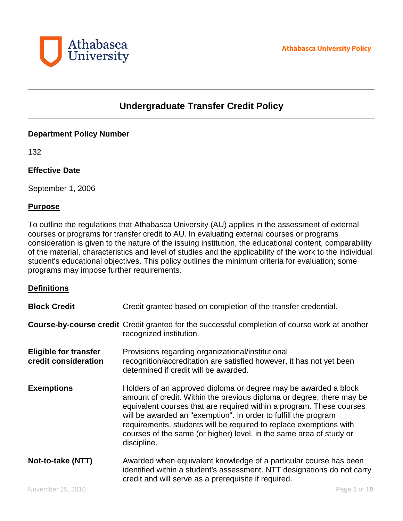

# **Undergraduate Transfer Credit Policy**

## **Department Policy Number**

132

## **Effective Date**

September 1, 2006

#### **Purpose**

To outline the regulations that Athabasca University (AU) applies in the assessment of external courses or programs for transfer credit to AU. In evaluating external courses or programs consideration is given to the nature of the issuing institution, the educational content, comparability of the material, characteristics and level of studies and the applicability of the work to the individual student's educational objectives. This policy outlines the minimum criteria for evaluation; some programs may impose further requirements.

## **Definitions**

| <b>Block Credit</b>                                  | Credit granted based on completion of the transfer credential.                                                                                                                                                                                                                                                                                                                                                                                  |
|------------------------------------------------------|-------------------------------------------------------------------------------------------------------------------------------------------------------------------------------------------------------------------------------------------------------------------------------------------------------------------------------------------------------------------------------------------------------------------------------------------------|
|                                                      | <b>Course-by-course credit</b> Credit granted for the successful completion of course work at another<br>recognized institution.                                                                                                                                                                                                                                                                                                                |
| <b>Eligible for transfer</b><br>credit consideration | Provisions regarding organizational/institutional<br>recognition/accreditation are satisfied however, it has not yet been<br>determined if credit will be awarded.                                                                                                                                                                                                                                                                              |
| <b>Exemptions</b>                                    | Holders of an approved diploma or degree may be awarded a block<br>amount of credit. Within the previous diploma or degree, there may be<br>equivalent courses that are required within a program. These courses<br>will be awarded an "exemption". In order to fulfill the program<br>requirements, students will be required to replace exemptions with<br>courses of the same (or higher) level, in the same area of study or<br>discipline. |
| Not-to-take (NTT)                                    | Awarded when equivalent knowledge of a particular course has been<br>identified within a student's assessment. NTT designations do not carry<br>credit and will serve as a prerequisite if required.                                                                                                                                                                                                                                            |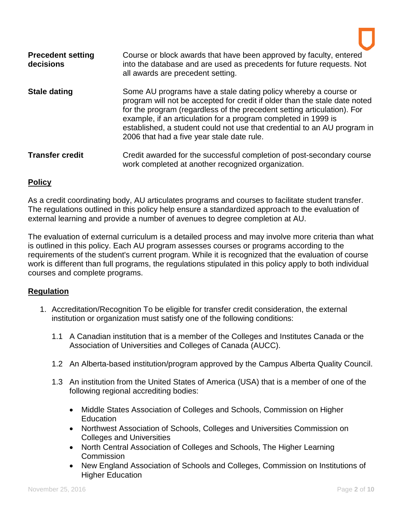| <b>Precedent setting</b><br>decisions | Course or block awards that have been approved by faculty, entered<br>into the database and are used as precedents for future requests. Not<br>all awards are precedent setting.                                                                                                                                                                                                                                     |
|---------------------------------------|----------------------------------------------------------------------------------------------------------------------------------------------------------------------------------------------------------------------------------------------------------------------------------------------------------------------------------------------------------------------------------------------------------------------|
| <b>Stale dating</b>                   | Some AU programs have a stale dating policy whereby a course or<br>program will not be accepted for credit if older than the stale date noted<br>for the program (regardless of the precedent setting articulation). For<br>example, if an articulation for a program completed in 1999 is<br>established, a student could not use that credential to an AU program in<br>2006 that had a five year stale date rule. |
| <b>Transfer credit</b>                | Credit awarded for the successful completion of post-secondary course<br>work completed at another recognized organization.                                                                                                                                                                                                                                                                                          |

## **Policy**

As a credit coordinating body, AU articulates programs and courses to facilitate student transfer. The regulations outlined in this policy help ensure a standardized approach to the evaluation of external learning and provide a number of avenues to degree completion at AU.

The evaluation of external curriculum is a detailed process and may involve more criteria than what is outlined in this policy. Each AU program assesses courses or programs according to the requirements of the student's current program. While it is recognized that the evaluation of course work is different than full programs, the regulations stipulated in this policy apply to both individual courses and complete programs.

# **Regulation**

- 1. Accreditation/Recognition To be eligible for transfer credit consideration, the external institution or organization must satisfy one of the following conditions:
	- 1.1 A Canadian institution that is a member of the Colleges and Institutes Canada or the Association of Universities and Colleges of Canada (AUCC).
	- 1.2 An Alberta-based institution/program approved by the Campus Alberta Quality Council.
	- 1.3 An institution from the United States of America (USA) that is a member of one of the following regional accrediting bodies:
		- Middle States Association of Colleges and Schools, Commission on Higher Education
		- Northwest Association of Schools, Colleges and Universities Commission on Colleges and Universities
		- North Central Association of Colleges and Schools, The Higher Learning **Commission**
		- New England Association of Schools and Colleges, Commission on Institutions of Higher Education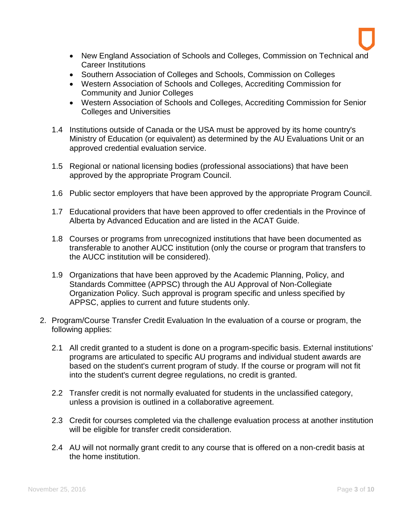- New England Association of Schools and Colleges, Commission on Technical and Career Institutions
- Southern Association of Colleges and Schools, Commission on Colleges
- Western Association of Schools and Colleges, Accrediting Commission for Community and Junior Colleges
- Western Association of Schools and Colleges, Accrediting Commission for Senior Colleges and Universities
- 1.4 Institutions outside of Canada or the USA must be approved by its home country's Ministry of Education (or equivalent) as determined by the AU Evaluations Unit or an approved credential evaluation service.
- 1.5 Regional or national licensing bodies (professional associations) that have been approved by the appropriate Program Council.
- 1.6 Public sector employers that have been approved by the appropriate Program Council.
- 1.7 Educational providers that have been approved to offer credentials in the Province of Alberta by Advanced Education and are listed in the ACAT Guide.
- 1.8 Courses or programs from unrecognized institutions that have been documented as transferable to another AUCC institution (only the course or program that transfers to the AUCC institution will be considered).
- 1.9 Organizations that have been approved by the Academic Planning, Policy, and Standards Committee (APPSC) through the AU Approval of Non-Collegiate Organization Policy. Such approval is program specific and unless specified by APPSC, applies to current and future students only.
- 2. Program/Course Transfer Credit Evaluation In the evaluation of a course or program, the following applies:
	- 2.1 All credit granted to a student is done on a program-specific basis. External institutions' programs are articulated to specific AU programs and individual student awards are based on the student's current program of study. If the course or program will not fit into the student's current degree regulations, no credit is granted.
	- 2.2 Transfer credit is not normally evaluated for students in the unclassified category, unless a provision is outlined in a collaborative agreement.
	- 2.3 Credit for courses completed via the challenge evaluation process at another institution will be eligible for transfer credit consideration.
	- 2.4 AU will not normally grant credit to any course that is offered on a non-credit basis at the home institution.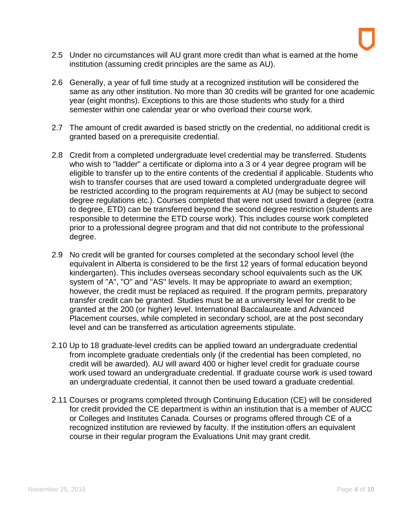- 2.5 Under no circumstances will AU grant more credit than what is earned at the home institution (assuming credit principles are the same as AU).
- 2.6 Generally, a year of full time study at a recognized institution will be considered the same as any other institution. No more than 30 credits will be granted for one academic year (eight months). Exceptions to this are those students who study for a third semester within one calendar year or who overload their course work.
- 2.7 The amount of credit awarded is based strictly on the credential, no additional credit is granted based on a prerequisite credential.
- 2.8 Credit from a completed undergraduate level credential may be transferred. Students who wish to "ladder" a certificate or diploma into a 3 or 4 year degree program will be eligible to transfer up to the entire contents of the credential if applicable. Students who wish to transfer courses that are used toward a completed undergraduate degree will be restricted according to the program requirements at AU (may be subject to second degree regulations etc.). Courses completed that were not used toward a degree (extra to degree, ETD) can be transferred beyond the second degree restriction (students are responsible to determine the ETD course work). This includes course work completed prior to a professional degree program and that did not contribute to the professional degree.
- 2.9 No credit will be granted for courses completed at the secondary school level (the equivalent in Alberta is considered to be the first 12 years of formal education beyond kindergarten). This includes overseas secondary school equivalents such as the UK system of "A", "O" and "AS" levels. It may be appropriate to award an exemption; however, the credit must be replaced as required. If the program permits, preparatory transfer credit can be granted. Studies must be at a university level for credit to be granted at the 200 (or higher) level. International Baccalaureate and Advanced Placement courses, while completed in secondary school, are at the post secondary level and can be transferred as articulation agreements stipulate.
- 2.10 Up to 18 graduate-level credits can be applied toward an undergraduate credential from incomplete graduate credentials only (if the credential has been completed, no credit will be awarded). AU will award 400 or higher level credit for graduate course work used toward an undergraduate credential. If graduate course work is used toward an undergraduate credential, it cannot then be used toward a graduate credential.
- 2.11 Courses or programs completed through Continuing Education (CE) will be considered for credit provided the CE department is within an institution that is a member of AUCC or Colleges and Institutes Canada. Courses or programs offered through CE of a recognized institution are reviewed by faculty. If the institution offers an equivalent course in their regular program the Evaluations Unit may grant credit.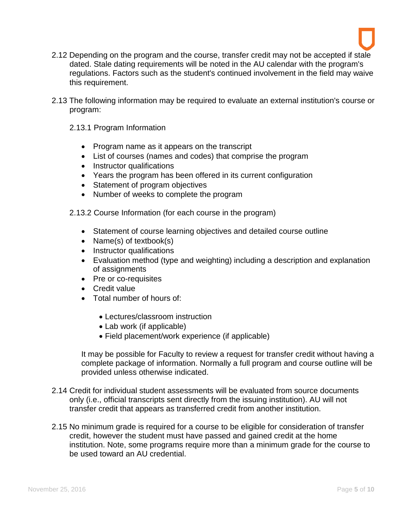

- 2.12 Depending on the program and the course, transfer credit may not be accepted if stale dated. Stale dating requirements will be noted in the AU calendar with the program's regulations. Factors such as the student's continued involvement in the field may waive this requirement.
- 2.13 The following information may be required to evaluate an external institution's course or program:
	- 2.13.1 Program Information
		- Program name as it appears on the transcript
		- List of courses (names and codes) that comprise the program
		- Instructor qualifications
		- Years the program has been offered in its current configuration
		- Statement of program objectives
		- Number of weeks to complete the program

2.13.2 Course Information (for each course in the program)

- Statement of course learning objectives and detailed course outline
- Name(s) of textbook(s)
- Instructor qualifications
- Evaluation method (type and weighting) including a description and explanation of assignments
- Pre or co-requisites
- Credit value
- Total number of hours of:
	- Lectures/classroom instruction
	- Lab work (if applicable)
	- Field placement/work experience (if applicable)

It may be possible for Faculty to review a request for transfer credit without having a complete package of information. Normally a full program and course outline will be provided unless otherwise indicated.

- 2.14 Credit for individual student assessments will be evaluated from source documents only (i.e., official transcripts sent directly from the issuing institution). AU will not transfer credit that appears as transferred credit from another institution.
- 2.15 No minimum grade is required for a course to be eligible for consideration of transfer credit, however the student must have passed and gained credit at the home institution. Note, some programs require more than a minimum grade for the course to be used toward an AU credential.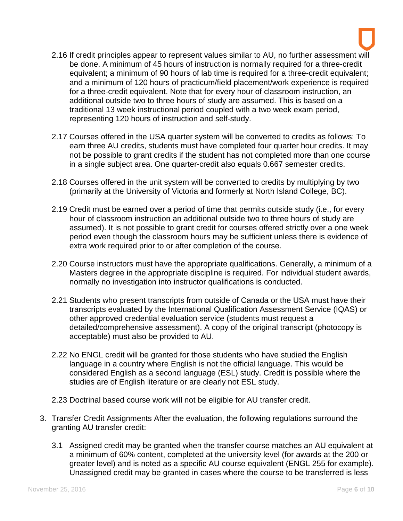- 2.16 If credit principles appear to represent values similar to AU, no further assessment will be done. A minimum of 45 hours of instruction is normally required for a three-credit equivalent; a minimum of 90 hours of lab time is required for a three-credit equivalent; and a minimum of 120 hours of practicum/field placement/work experience is required for a three-credit equivalent. Note that for every hour of classroom instruction, an additional outside two to three hours of study are assumed. This is based on a traditional 13 week instructional period coupled with a two week exam period, representing 120 hours of instruction and self-study.
- 2.17 Courses offered in the USA quarter system will be converted to credits as follows: To earn three AU credits, students must have completed four quarter hour credits. It may not be possible to grant credits if the student has not completed more than one course in a single subject area. One quarter-credit also equals 0.667 semester credits.
- 2.18 Courses offered in the unit system will be converted to credits by multiplying by two (primarily at the University of Victoria and formerly at North Island College, BC).
- 2.19 Credit must be earned over a period of time that permits outside study (i.e., for every hour of classroom instruction an additional outside two to three hours of study are assumed). It is not possible to grant credit for courses offered strictly over a one week period even though the classroom hours may be sufficient unless there is evidence of extra work required prior to or after completion of the course.
- 2.20 Course instructors must have the appropriate qualifications. Generally, a minimum of a Masters degree in the appropriate discipline is required. For individual student awards, normally no investigation into instructor qualifications is conducted.
- 2.21 Students who present transcripts from outside of Canada or the USA must have their transcripts evaluated by the International Qualification Assessment Service (IQAS) or other approved credential evaluation service (students must request a detailed/comprehensive assessment). A copy of the original transcript (photocopy is acceptable) must also be provided to AU.
- 2.22 No ENGL credit will be granted for those students who have studied the English language in a country where English is not the official language. This would be considered English as a second language (ESL) study. Credit is possible where the studies are of English literature or are clearly not ESL study.
- 2.23 Doctrinal based course work will not be eligible for AU transfer credit.
- 3. Transfer Credit Assignments After the evaluation, the following regulations surround the granting AU transfer credit:
	- 3.1 Assigned credit may be granted when the transfer course matches an AU equivalent at a minimum of 60% content, completed at the university level (for awards at the 200 or greater level) and is noted as a specific AU course equivalent (ENGL 255 for example). Unassigned credit may be granted in cases where the course to be transferred is less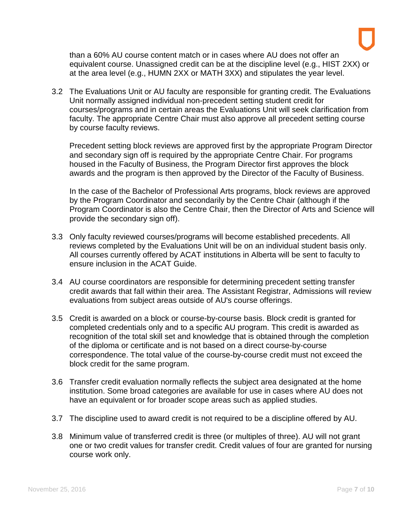than a 60% AU course content match or in cases where AU does not offer an equivalent course. Unassigned credit can be at the discipline level (e.g., HIST 2XX) or at the area level (e.g., HUMN 2XX or MATH 3XX) and stipulates the year level.

3.2 The Evaluations Unit or AU faculty are responsible for granting credit. The Evaluations Unit normally assigned individual non-precedent setting student credit for courses/programs and in certain areas the Evaluations Unit will seek clarification from faculty. The appropriate Centre Chair must also approve all precedent setting course by course faculty reviews.

Precedent setting block reviews are approved first by the appropriate Program Director and secondary sign off is required by the appropriate Centre Chair. For programs housed in the Faculty of Business, the Program Director first approves the block awards and the program is then approved by the Director of the Faculty of Business.

In the case of the Bachelor of Professional Arts programs, block reviews are approved by the Program Coordinator and secondarily by the Centre Chair (although if the Program Coordinator is also the Centre Chair, then the Director of Arts and Science will provide the secondary sign off).

- 3.3 Only faculty reviewed courses/programs will become established precedents. All reviews completed by the Evaluations Unit will be on an individual student basis only. All courses currently offered by ACAT institutions in Alberta will be sent to faculty to ensure inclusion in the ACAT Guide.
- 3.4 AU course coordinators are responsible for determining precedent setting transfer credit awards that fall within their area. The Assistant Registrar, Admissions will review evaluations from subject areas outside of AU's course offerings.
- 3.5 Credit is awarded on a block or course-by-course basis. Block credit is granted for completed credentials only and to a specific AU program. This credit is awarded as recognition of the total skill set and knowledge that is obtained through the completion of the diploma or certificate and is not based on a direct course-by-course correspondence. The total value of the course-by-course credit must not exceed the block credit for the same program.
- 3.6 Transfer credit evaluation normally reflects the subject area designated at the home institution. Some broad categories are available for use in cases where AU does not have an equivalent or for broader scope areas such as applied studies.
- 3.7 The discipline used to award credit is not required to be a discipline offered by AU.
- 3.8 Minimum value of transferred credit is three (or multiples of three). AU will not grant one or two credit values for transfer credit. Credit values of four are granted for nursing course work only.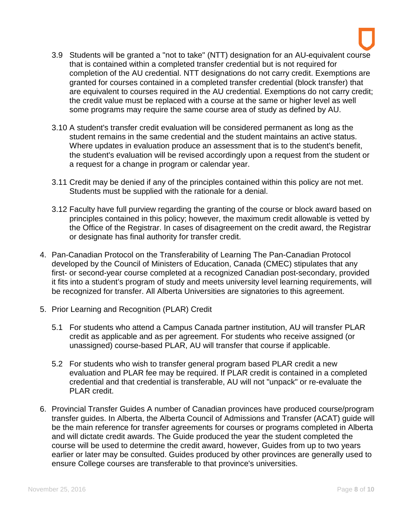- 3.9 Students will be granted a "not to take" (NTT) designation for an AU-equivalent course that is contained within a completed transfer credential but is not required for completion of the AU credential. NTT designations do not carry credit. Exemptions are granted for courses contained in a completed transfer credential (block transfer) that are equivalent to courses required in the AU credential. Exemptions do not carry credit; the credit value must be replaced with a course at the same or higher level as well some programs may require the same course area of study as defined by AU.
- 3.10 A student's transfer credit evaluation will be considered permanent as long as the student remains in the same credential and the student maintains an active status. Where updates in evaluation produce an assessment that is to the student's benefit, the student's evaluation will be revised accordingly upon a request from the student or a request for a change in program or calendar year.
- 3.11 Credit may be denied if any of the principles contained within this policy are not met. Students must be supplied with the rationale for a denial.
- 3.12 Faculty have full purview regarding the granting of the course or block award based on principles contained in this policy; however, the maximum credit allowable is vetted by the Office of the Registrar. In cases of disagreement on the credit award, the Registrar or designate has final authority for transfer credit.
- 4. Pan-Canadian Protocol on the Transferability of Learning The Pan-Canadian Protocol developed by the Council of Ministers of Education, Canada (CMEC) stipulates that any first- or second-year course completed at a recognized Canadian post-secondary, provided it fits into a student's program of study and meets university level learning requirements, will be recognized for transfer. All Alberta Universities are signatories to this agreement.
- 5. Prior Learning and Recognition (PLAR) Credit
	- 5.1 For students who attend a Campus Canada partner institution, AU will transfer PLAR credit as applicable and as per agreement. For students who receive assigned (or unassigned) course-based PLAR, AU will transfer that course if applicable.
	- 5.2 For students who wish to transfer general program based PLAR credit a new evaluation and PLAR fee may be required. If PLAR credit is contained in a completed credential and that credential is transferable, AU will not "unpack" or re-evaluate the PLAR credit.
- 6. Provincial Transfer Guides A number of Canadian provinces have produced course/program transfer guides. In Alberta, the Alberta Council of Admissions and Transfer (ACAT) guide will be the main reference for transfer agreements for courses or programs completed in Alberta and will dictate credit awards. The Guide produced the year the student completed the course will be used to determine the credit award, however, Guides from up to two years earlier or later may be consulted. Guides produced by other provinces are generally used to ensure College courses are transferable to that province's universities.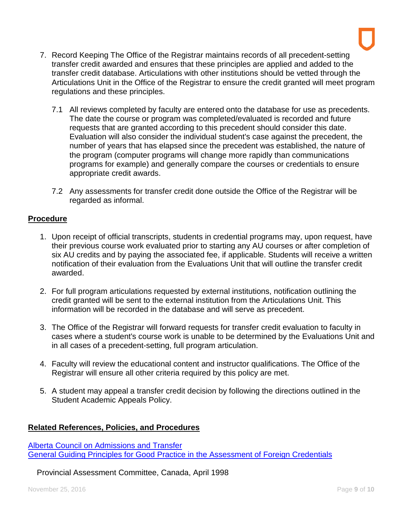- 7. Record Keeping The Office of the Registrar maintains records of all precedent-setting transfer credit awarded and ensures that these principles are applied and added to the transfer credit database. Articulations with other institutions should be vetted through the Articulations Unit in the Office of the Registrar to ensure the credit granted will meet program regulations and these principles.
	- 7.1 All reviews completed by faculty are entered onto the database for use as precedents. The date the course or program was completed/evaluated is recorded and future requests that are granted according to this precedent should consider this date. Evaluation will also consider the individual student's case against the precedent, the number of years that has elapsed since the precedent was established, the nature of the program (computer programs will change more rapidly than communications programs for example) and generally compare the courses or credentials to ensure appropriate credit awards.
	- 7.2 Any assessments for transfer credit done outside the Office of the Registrar will be regarded as informal.

## **Procedure**

- 1. Upon receipt of official transcripts, students in credential programs may, upon request, have their previous course work evaluated prior to starting any AU courses or after completion of six AU credits and by paying the associated fee, if applicable. Students will receive a written notification of their evaluation from the Evaluations Unit that will outline the transfer credit awarded.
- 2. For full program articulations requested by external institutions, notification outlining the credit granted will be sent to the external institution from the Articulations Unit. This information will be recorded in the database and will serve as precedent.
- 3. The Office of the Registrar will forward requests for transfer credit evaluation to faculty in cases where a student's course work is unable to be determined by the Evaluations Unit and in all cases of a precedent-setting, full program articulation.
- 4. Faculty will review the educational content and instructor qualifications. The Office of the Registrar will ensure all other criteria required by this policy are met.
- 5. A student may appeal a transfer credit decision by following the directions outlined in the Student Academic Appeals Policy.

## **Related References, Policies, and Procedures**

[Alberta Council on Admissions and Transfer](http://alis.alberta.ca/ps/tsp/transferalberta.html) [General Guiding Principles for Good Practice in the Assessment of Foreign Credentials](http://www.cicic.ca/502/good-practice.canada)

Provincial Assessment Committee, Canada, April 1998